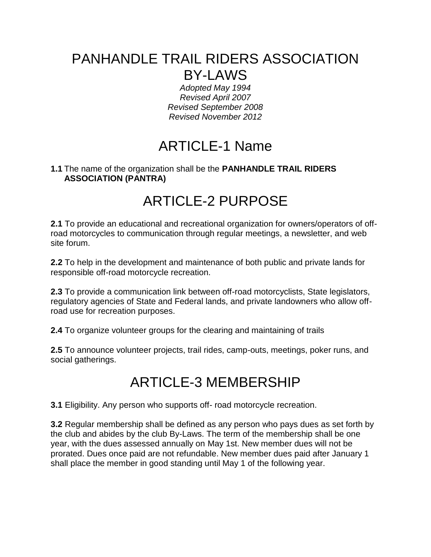#### PANHANDLE TRAIL RIDERS ASSOCIATION BY-LAWS

*Adopted May 1994 Revised April 2007 Revised September 2008 Revised November 2012*

# ARTICLE-1 Name

#### **1.1** The name of the organization shall be the **PANHANDLE TRAIL RIDERS ASSOCIATION (PANTRA)**

## ARTICLE-2 PURPOSE

**2.1** To provide an educational and recreational organization for owners/operators of offroad motorcycles to communication through regular meetings, a newsletter, and web site forum.

**2.2** To help in the development and maintenance of both public and private lands for responsible off-road motorcycle recreation.

**2.3** To provide a communication link between off-road motorcyclists, State legislators, regulatory agencies of State and Federal lands, and private landowners who allow offroad use for recreation purposes.

**2.4** To organize volunteer groups for the clearing and maintaining of trails

**2.5** To announce volunteer projects, trail rides, camp-outs, meetings, poker runs, and social gatherings.

#### ARTICLE-3 MEMBERSHIP

**3.1** Eligibility. Any person who supports off- road motorcycle recreation.

**3.2** Regular membership shall be defined as any person who pays dues as set forth by the club and abides by the club By-Laws. The term of the membership shall be one year, with the dues assessed annually on May 1st. New member dues will not be prorated. Dues once paid are not refundable. New member dues paid after January 1 shall place the member in good standing until May 1 of the following year.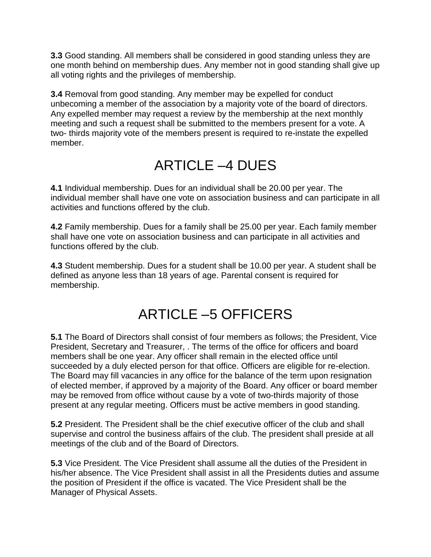**3.3** Good standing. All members shall be considered in good standing unless they are one month behind on membership dues. Any member not in good standing shall give up all voting rights and the privileges of membership.

**3.4** Removal from good standing. Any member may be expelled for conduct unbecoming a member of the association by a majority vote of the board of directors. Any expelled member may request a review by the membership at the next monthly meeting and such a request shall be submitted to the members present for a vote. A two- thirds majority vote of the members present is required to re-instate the expelled member.

# ARTICLE –4 DUES

**4.1** Individual membership. Dues for an individual shall be 20.00 per year. The individual member shall have one vote on association business and can participate in all activities and functions offered by the club.

**4.2** Family membership. Dues for a family shall be 25.00 per year. Each family member shall have one vote on association business and can participate in all activities and functions offered by the club.

**4.3** Student membership. Dues for a student shall be 10.00 per year. A student shall be defined as anyone less than 18 years of age. Parental consent is required for membership.

## ARTICLE –5 OFFICERS

**5.1** The Board of Directors shall consist of four members as follows; the President, Vice President, Secretary and Treasurer, . The terms of the office for officers and board members shall be one year. Any officer shall remain in the elected office until succeeded by a duly elected person for that office. Officers are eligible for re-election. The Board may fill vacancies in any office for the balance of the term upon resignation of elected member, if approved by a majority of the Board. Any officer or board member may be removed from office without cause by a vote of two-thirds majority of those present at any regular meeting. Officers must be active members in good standing.

**5.2** President. The President shall be the chief executive officer of the club and shall supervise and control the business affairs of the club. The president shall preside at all meetings of the club and of the Board of Directors.

**5.3** Vice President. The Vice President shall assume all the duties of the President in his/her absence. The Vice President shall assist in all the Presidents duties and assume the position of President if the office is vacated. The Vice President shall be the Manager of Physical Assets.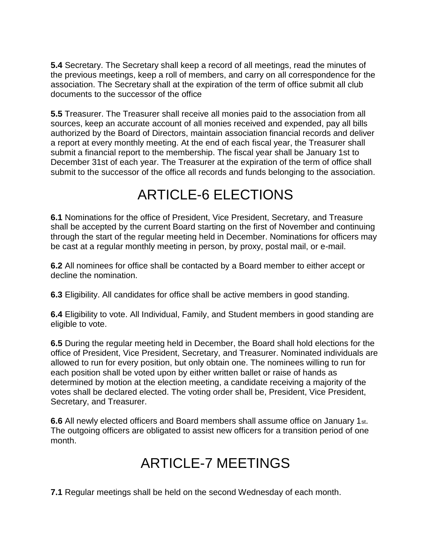**5.4** Secretary. The Secretary shall keep a record of all meetings, read the minutes of the previous meetings, keep a roll of members, and carry on all correspondence for the association. The Secretary shall at the expiration of the term of office submit all club documents to the successor of the office

**5.5** Treasurer. The Treasurer shall receive all monies paid to the association from all sources, keep an accurate account of all monies received and expended, pay all bills authorized by the Board of Directors, maintain association financial records and deliver a report at every monthly meeting. At the end of each fiscal year, the Treasurer shall submit a financial report to the membership. The fiscal year shall be January 1st to December 31st of each year. The Treasurer at the expiration of the term of office shall submit to the successor of the office all records and funds belonging to the association.

## ARTICLE-6 ELECTIONS

**6.1** Nominations for the office of President, Vice President, Secretary, and Treasure shall be accepted by the current Board starting on the first of November and continuing through the start of the regular meeting held in December. Nominations for officers may be cast at a regular monthly meeting in person, by proxy, postal mail, or e-mail.

**6.2** All nominees for office shall be contacted by a Board member to either accept or decline the nomination.

**6.3** Eligibility. All candidates for office shall be active members in good standing.

**6.4** Eligibility to vote. All Individual, Family, and Student members in good standing are eligible to vote.

**6.5** During the regular meeting held in December, the Board shall hold elections for the office of President, Vice President, Secretary, and Treasurer. Nominated individuals are allowed to run for every position, but only obtain one. The nominees willing to run for each position shall be voted upon by either written ballet or raise of hands as determined by motion at the election meeting, a candidate receiving a majority of the votes shall be declared elected. The voting order shall be, President, Vice President, Secretary, and Treasurer.

**6.6** All newly elected officers and Board members shall assume office on January 1st. The outgoing officers are obligated to assist new officers for a transition period of one month.

## ARTICLE-7 MEETINGS

**7.1** Regular meetings shall be held on the second Wednesday of each month.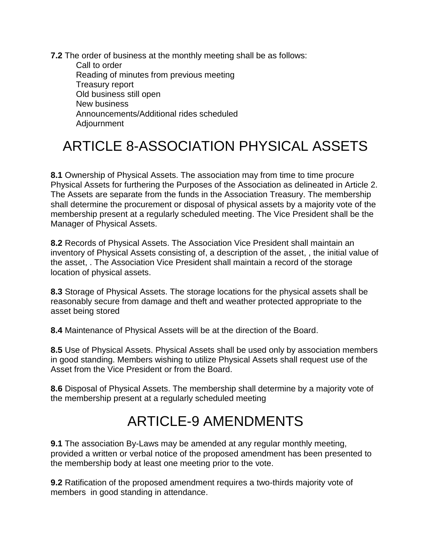**7.2** The order of business at the monthly meeting shall be as follows: Call to order Reading of minutes from previous meeting Treasury report Old business still open New business Announcements/Additional rides scheduled Adjournment

# ARTICLE 8-ASSOCIATION PHYSICAL ASSETS

**8.1** Ownership of Physical Assets. The association may from time to time procure Physical Assets for furthering the Purposes of the Association as delineated in Article 2. The Assets are separate from the funds in the Association Treasury. The membership shall determine the procurement or disposal of physical assets by a majority vote of the membership present at a regularly scheduled meeting. The Vice President shall be the Manager of Physical Assets.

**8.2** Records of Physical Assets. The Association Vice President shall maintain an inventory of Physical Assets consisting of, a description of the asset, , the initial value of the asset, . The Association Vice President shall maintain a record of the storage location of physical assets.

**8.3** Storage of Physical Assets. The storage locations for the physical assets shall be reasonably secure from damage and theft and weather protected appropriate to the asset being stored

**8.4** Maintenance of Physical Assets will be at the direction of the Board.

**8.5** Use of Physical Assets. Physical Assets shall be used only by association members in good standing. Members wishing to utilize Physical Assets shall request use of the Asset from the Vice President or from the Board.

**8.6** Disposal of Physical Assets. The membership shall determine by a majority vote of the membership present at a regularly scheduled meeting

#### ARTICLE-9 AMENDMENTS

**9.1** The association By-Laws may be amended at any regular monthly meeting, provided a written or verbal notice of the proposed amendment has been presented to the membership body at least one meeting prior to the vote.

**9.2** Ratification of the proposed amendment requires a two-thirds majority vote of members in good standing in attendance.